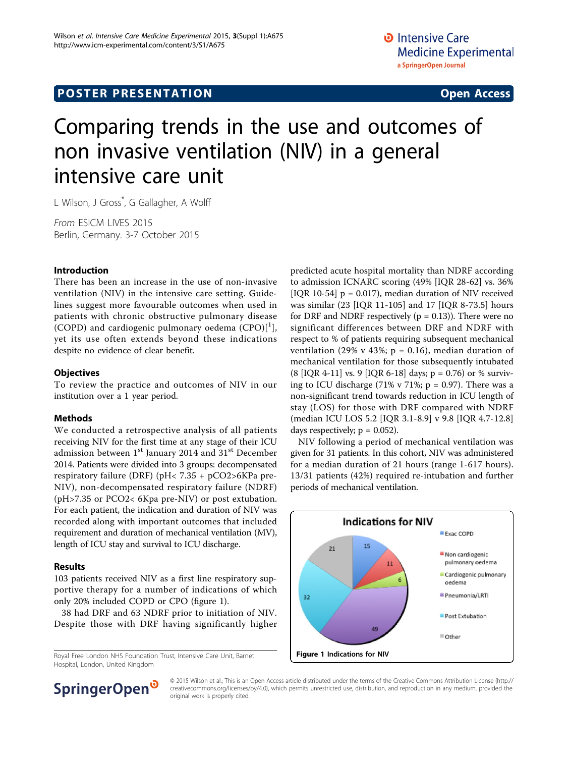# Comparing trends in the use and outcomes of non invasive ventilation (NIV) in a general intensive care unit

L Wilson, J Gross\* , G Gallagher, A Wolff

From ESICM LIVES 2015 Berlin, Germany. 3-7 October 2015

### Introduction

There has been an increase in the use of non-invasive ventilation (NIV) in the intensive care setting. Guidelines suggest more favourable outcomes when used in patients with chronic obstructive pulmonary disease (COPD) and cardiogenic pulmonary oedema  $(CPO)[<sup>1</sup>]$  $(CPO)[<sup>1</sup>]$  $(CPO)[<sup>1</sup>]$ , yet its use often extends beyond these indications despite no evidence of clear benefit.

## **Objectives**

To review the practice and outcomes of NIV in our institution over a 1 year period.

### Methods

We conducted a retrospective analysis of all patients receiving NIV for the first time at any stage of their ICU admission between 1<sup>st</sup> January 2014 and 31<sup>st</sup> December 2014. Patients were divided into 3 groups: decompensated respiratory failure (DRF) (pH< 7.35 + pCO2>6KPa pre-NIV), non-decompensated respiratory failure (NDRF) (pH>7.35 or PCO2< 6Kpa pre-NIV) or post extubation. For each patient, the indication and duration of NIV was recorded along with important outcomes that included requirement and duration of mechanical ventilation (MV), length of ICU stay and survival to ICU discharge.

# Results

103 patients received NIV as a first line respiratory supportive therapy for a number of indications of which only 20% included COPD or CPO (figure 1).

38 had DRF and 63 NDRF prior to initiation of NIV. Despite those with DRF having significantly higher

Royal Free London NHS Foundation Trust, Intensive Care Unit, Barnet Hospital, London, United Kingdom

predicted acute hospital mortality than NDRF according to admission ICNARC scoring (49% [IQR 28-62] vs. 36% [IQR 10-54]  $p = 0.017$ ], median duration of NIV received was similar (23 [IQR 11-105] and 17 [IQR 8-73.5] hours for DRF and NDRF respectively ( $p = 0.13$ )). There were no significant differences between DRF and NDRF with respect to % of patients requiring subsequent mechanical ventilation (29% v 43%;  $p = 0.16$ ), median duration of mechanical ventilation for those subsequently intubated  $(8$  [IQR 4-11] vs. 9 [IQR 6-18] days; p = 0.76) or % surviving to ICU discharge (71% v 71%;  $p = 0.97$ ). There was a non-significant trend towards reduction in ICU length of stay (LOS) for those with DRF compared with NDRF (median ICU LOS 5.2 [IQR 3.1-8.9] v 9.8 [IQR 4.7-12.8] days respectively;  $p = 0.052$ ).

NIV following a period of mechanical ventilation was given for 31 patients. In this cohort, NIV was administered for a median duration of 21 hours (range 1-617 hours). 13/31 patients (42%) required re-intubation and further periods of mechanical ventilation.





© 2015 Wilson et al.; This is an Open Access article distributed under the terms of the Creative Commons Attribution License [\(http://](http://creativecommons.org/licenses/by/4.0) [creativecommons.org/licenses/by/4.0](http://creativecommons.org/licenses/by/4.0)), which permits unrestricted use, distribution, and reproduction in any medium, provided the original work is properly cited.